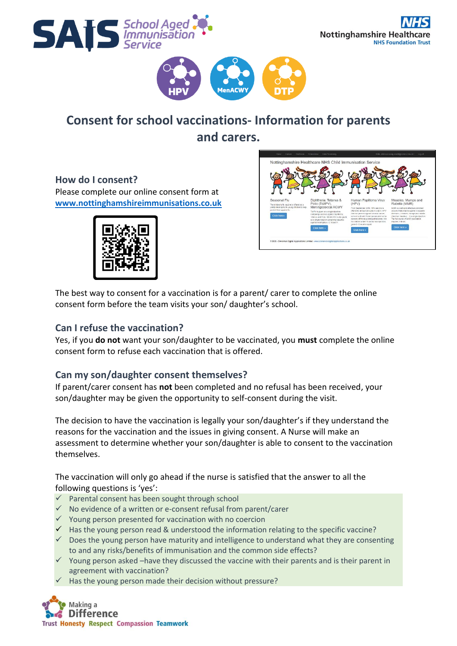





## **Consent for school vaccinations- Information for parents and carers.**

**How do I consent?** Please complete our online consent form at **[www.nottinghamshireimmunisations.co.uk](http://www.nottinghamshireimmunisations.co.uk/)**





The best way to consent for a vaccination is for a parent/ carer to complete the online consent form before the team visits your son/ daughter's school.

#### **Can I refuse the vaccination?**

Yes, if you **do not** want your son/daughter to be vaccinated, you **must** complete the online consent form to refuse each vaccination that is offered.

### **Can my son/daughter consent themselves?**

If parent/carer consent has **not** been completed and no refusal has been received, your son/daughter may be given the opportunity to self-consent during the visit.

The decision to have the vaccination is legally your son/daughter's if they understand the reasons for the vaccination and the issues in giving consent. A Nurse will make an assessment to determine whether your son/daughter is able to consent to the vaccination themselves.

The vaccination will only go ahead if the nurse is satisfied that the answer to all the following questions is 'yes':

- ✓ Parental consent has been sought through school
- $\checkmark$  No evidence of a written or e-consent refusal from parent/carer
- ✓ Young person presented for vaccination with no coercion
- $\checkmark$  Has the young person read & understood the information relating to the specific vaccine?
- $\checkmark$  Does the young person have maturity and intelligence to understand what they are consenting to and any risks/benefits of immunisation and the common side effects?
- $\checkmark$  Young person asked –have they discussed the vaccine with their parents and is their parent in agreement with vaccination?
- Has the young person made their decision without pressure?